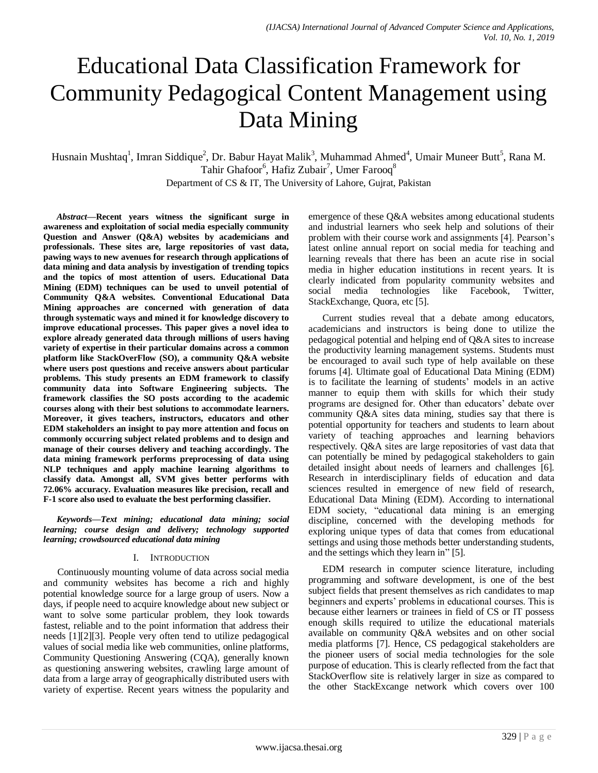# Educational Data Classification Framework for Community Pedagogical Content Management using Data Mining

Husnain Mushtaq<sup>1</sup>, Imran Siddique<sup>2</sup>, Dr. Babur Hayat Malik<sup>3</sup>, Muhammad Ahmed<sup>4</sup>, Umair Muneer Butt<sup>5</sup>, Rana M. Tahir Ghafoor<sup>6</sup>, Hafiz Zubair<sup>7</sup>, Umer Farooq<sup>8</sup> Department of CS & IT, The University of Lahore, Gujrat, Pakistan

*Abstract***—Recent years witness the significant surge in awareness and exploitation of social media especially community Question and Answer (Q&A) websites by academicians and professionals. These sites are, large repositories of vast data, pawing ways to new avenues for research through applications of data mining and data analysis by investigation of trending topics and the topics of most attention of users. Educational Data Mining (EDM) techniques can be used to unveil potential of Community Q&A websites. Conventional Educational Data Mining approaches are concerned with generation of data through systematic ways and mined it for knowledge discovery to improve educational processes. This paper gives a novel idea to explore already generated data through millions of users having variety of expertise in their particular domains across a common platform like StackOverFlow (SO), a community Q&A website where users post questions and receive answers about particular problems. This study presents an EDM framework to classify community data into Software Engineering subjects. The framework classifies the SO posts according to the academic courses along with their best solutions to accommodate learners. Moreover, it gives teachers, instructors, educators and other EDM stakeholders an insight to pay more attention and focus on commonly occurring subject related problems and to design and manage of their courses delivery and teaching accordingly. The data mining framework performs preprocessing of data using NLP techniques and apply machine learning algorithms to classify data. Amongst all, SVM gives better performs with 72.06% accuracy. Evaluation measures like precision, recall and F-1 score also used to evaluate the best performing classifier.**

*Keywords—Text mining; educational data mining; social learning; course design and delivery; technology supported learning; crowdsourced educational data mining*

#### I. INTRODUCTION

Continuously mounting volume of data across social media and community websites has become a rich and highly potential knowledge source for a large group of users. Now a days, if people need to acquire knowledge about new subject or want to solve some particular problem, they look towards fastest, reliable and to the point information that address their needs [1][2][3]. People very often tend to utilize pedagogical values of social media like web communities, online platforms, Community Questioning Answering (CQA), generally known as questioning answering websites, crawling large amount of data from a large array of geographically distributed users with variety of expertise. Recent years witness the popularity and emergence of these Q&A websites among educational students and industrial learners who seek help and solutions of their problem with their course work and assignments [4]. Pearson"s latest online annual report on social media for teaching and learning reveals that there has been an acute rise in social media in higher education institutions in recent years. It is clearly indicated from popularity community websites and social media technologies like Facebook, Twitter, StackExchange, Quora, etc [5].

Current studies reveal that a debate among educators, academicians and instructors is being done to utilize the pedagogical potential and helping end of Q&A sites to increase the productivity learning management systems. Students must be encouraged to avail such type of help available on these forums [4]. Ultimate goal of Educational Data Mining (EDM) is to facilitate the learning of students' models in an active manner to equip them with skills for which their study programs are designed for. Other than educators' debate over community Q&A sites data mining, studies say that there is potential opportunity for teachers and students to learn about variety of teaching approaches and learning behaviors respectively. Q&A sites are large repositories of vast data that can potentially be mined by pedagogical stakeholders to gain detailed insight about needs of learners and challenges [6]. Research in interdisciplinary fields of education and data sciences resulted in emergence of new field of research, Educational Data Mining (EDM). According to international EDM society, "educational data mining is an emerging discipline, concerned with the developing methods for exploring unique types of data that comes from educational settings and using those methods better understanding students, and the settings which they learn in" [5].

EDM research in computer science literature, including programming and software development, is one of the best subject fields that present themselves as rich candidates to map beginners and experts' problems in educational courses. This is because either learners or trainees in field of CS or IT possess enough skills required to utilize the educational materials available on community Q&A websites and on other social media platforms [7]. Hence, CS pedagogical stakeholders are the pioneer users of social media technologies for the sole purpose of education. This is clearly reflected from the fact that StackOverflow site is relatively larger in size as compared to the other StackExcange network which covers over 100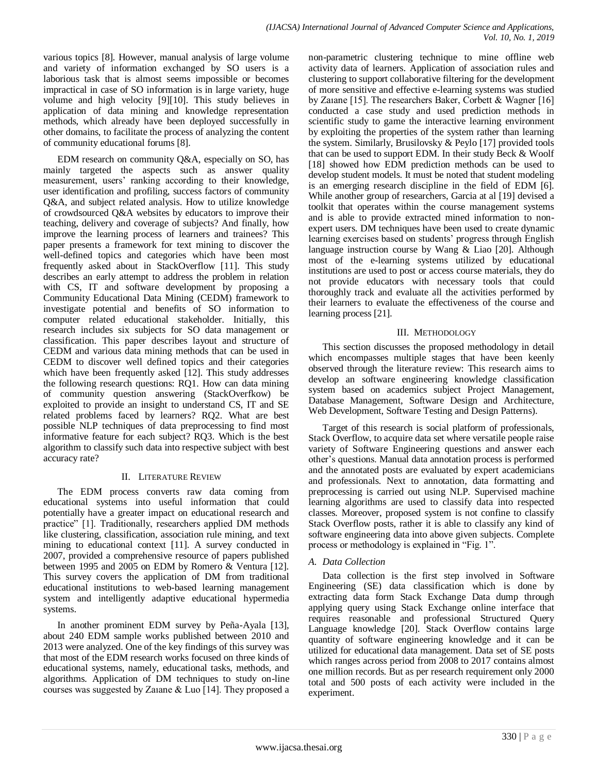various topics [8]. However, manual analysis of large volume and variety of information exchanged by SO users is a laborious task that is almost seems impossible or becomes impractical in case of SO information is in large variety, huge volume and high velocity [9][10]. This study believes in application of data mining and knowledge representation methods, which already have been deployed successfully in other domains, to facilitate the process of analyzing the content of community educational forums [8].

EDM research on community Q&A, especially on SO, has mainly targeted the aspects such as answer quality measurement, users' ranking according to their knowledge, user identification and profiling, success factors of community Q&A, and subject related analysis. How to utilize knowledge of crowdsourced Q&A websites by educators to improve their teaching, delivery and coverage of subjects? And finally, how improve the learning process of learners and trainees? This paper presents a framework for text mining to discover the well-defined topics and categories which have been most frequently asked about in StackOverflow [11]. This study describes an early attempt to address the problem in relation with CS, IT and software development by proposing a Community Educational Data Mining (CEDM) framework to investigate potential and benefits of SO information to computer related educational stakeholder. Initially, this research includes six subjects for SO data management or classification. This paper describes layout and structure of CEDM and various data mining methods that can be used in CEDM to discover well defined topics and their categories which have been frequently asked [12]. This study addresses the following research questions: RQ1. How can data mining of community question answering (StackOverfkow) be exploited to provide an insight to understand CS, IT and SE related problems faced by learners? RQ2. What are best possible NLP techniques of data preprocessing to find most informative feature for each subject? RQ3. Which is the best algorithm to classify such data into respective subject with best accuracy rate?

### II. LITERATURE REVIEW

The EDM process converts raw data coming from educational systems into useful information that could potentially have a greater impact on educational research and practice" [1]. Traditionally, researchers applied DM methods like clustering, classification, association rule mining, and text mining to educational context [11]. A survey conducted in 2007, provided a comprehensive resource of papers published between 1995 and 2005 on EDM by Romero & Ventura [12]. This survey covers the application of DM from traditional educational institutions to web-based learning management system and intelligently adaptive educational hypermedia systems.

In another prominent EDM survey by Peña-Ayala [13], about 240 EDM sample works published between 2010 and 2013 were analyzed. One of the key findings of this survey was that most of the EDM research works focused on three kinds of educational systems, namely, educational tasks, methods, and algorithms. Application of DM techniques to study on-line courses was suggested by Zaıane & Luo [14]. They proposed a

non-parametric clustering technique to mine offline web activity data of learners. Application of association rules and clustering to support collaborative filtering for the development of more sensitive and effective e-learning systems was studied by Zaıane [15]. The researchers Baker, Corbett & Wagner [16] conducted a case study and used prediction methods in scientific study to game the interactive learning environment by exploiting the properties of the system rather than learning the system. Similarly, Brusilovsky & Peylo [17] provided tools that can be used to support EDM. In their study Beck & Woolf [18] showed how EDM prediction methods can be used to develop student models. It must be noted that student modeling is an emerging research discipline in the field of EDM [6]. While another group of researchers, Garcia at al [19] devised a toolkit that operates within the course management systems and is able to provide extracted mined information to nonexpert users. DM techniques have been used to create dynamic learning exercises based on students' progress through English language instruction course by Wang & Liao [20]. Although most of the e-learning systems utilized by educational institutions are used to post or access course materials, they do not provide educators with necessary tools that could thoroughly track and evaluate all the activities performed by their learners to evaluate the effectiveness of the course and learning process [21].

### III. METHODOLOGY

This section discusses the proposed methodology in detail which encompasses multiple stages that have been keenly observed through the literature review: This research aims to develop an software engineering knowledge classification system based on academics subject Project Management, Database Management, Software Design and Architecture, Web Development, Software Testing and Design Patterns).

Target of this research is social platform of professionals, Stack Overflow, to acquire data set where versatile people raise variety of Software Engineering questions and answer each other"s questions. Manual data annotation process is performed and the annotated posts are evaluated by expert academicians and professionals. Next to annotation, data formatting and preprocessing is carried out using NLP. Supervised machine learning algorithms are used to classify data into respected classes. Moreover, proposed system is not confine to classify Stack Overflow posts, rather it is able to classify any kind of software engineering data into above given subjects. Complete process or methodology is explained in "Fig. 1".

### *A. Data Collection*

Data collection is the first step involved in Software Engineering (SE) data classification which is done by extracting data form Stack Exchange Data dump through applying query using Stack Exchange online interface that requires reasonable and professional Structured Query Language knowledge [20]. Stack Overflow contains large quantity of software engineering knowledge and it can be utilized for educational data management. Data set of SE posts which ranges across period from 2008 to 2017 contains almost one million records. But as per research requirement only 2000 total and 500 posts of each activity were included in the experiment.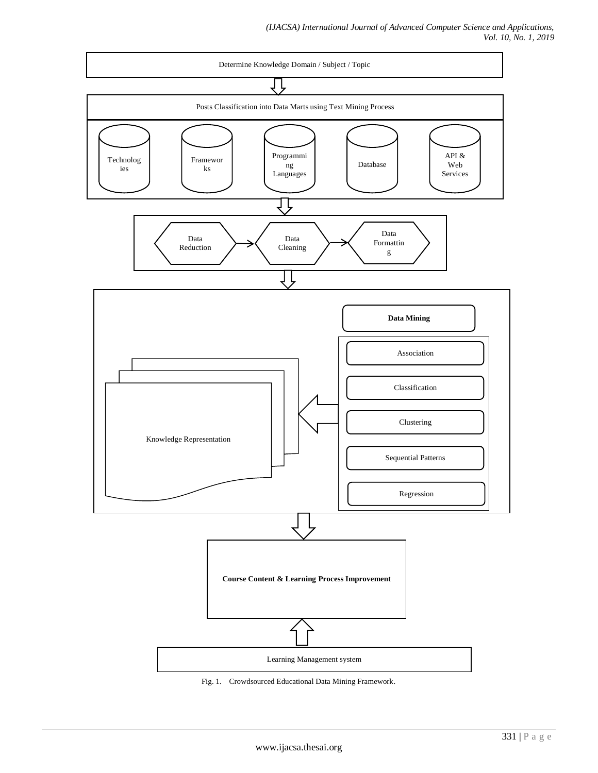

Fig. 1. Crowdsourced Educational Data Mining Framework.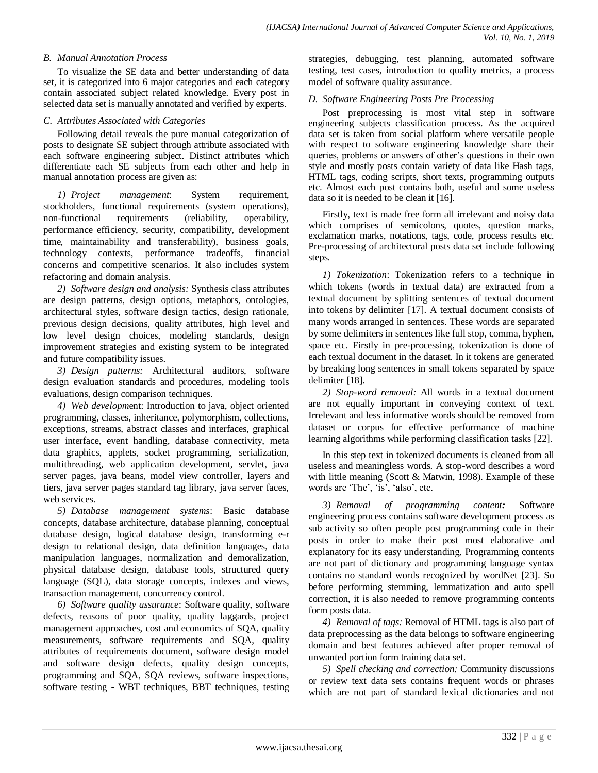#### *B. Manual Annotation Process*

To visualize the SE data and better understanding of data set, it is categorized into 6 major categories and each category contain associated subject related knowledge. Every post in selected data set is manually annotated and verified by experts.

#### *C. Attributes Associated with Categories*

Following detail reveals the pure manual categorization of posts to designate SE subject through attribute associated with each software engineering subject. Distinct attributes which differentiate each SE subjects from each other and help in manual annotation process are given as:

*1) Project management*: System requirement, stockholders, functional requirements (system operations), non-functional requirements (reliability, operability, performance efficiency, security, compatibility, development time, maintainability and transferability), business goals, technology contexts, performance tradeoffs, financial concerns and competitive scenarios. It also includes system refactoring and domain analysis.

*2) Software design and analysis:* Synthesis class attributes are design patterns, design options, metaphors, ontologies, architectural styles, software design tactics, design rationale, previous design decisions, quality attributes, high level and low level design choices, modeling standards, design improvement strategies and existing system to be integrated and future compatibility issues.

*3) Design patterns:* Architectural auditors, software design evaluation standards and procedures, modeling tools evaluations, design comparison techniques.

*4) Web developm*ent: Introduction to java, object oriented programming, classes, inheritance, polymorphism, collections, exceptions, streams, abstract classes and interfaces, graphical user interface, event handling, database connectivity, meta data graphics, applets, socket programming, serialization, multithreading, web application development, servlet, java server pages, java beans, model view controller, layers and tiers, java server pages standard tag library, java server faces, web services.

*5) Database management systems*: Basic database concepts, database architecture, database planning, conceptual database design, logical database design, transforming e-r design to relational design, data definition languages, data manipulation languages, normalization and demoralization, physical database design, database tools, structured query language (SQL), data storage concepts, indexes and views, transaction management, concurrency control.

*6) Software quality assurance*: Software quality, software defects, reasons of poor quality, quality laggards, project management approaches, cost and economics of SQA, quality measurements, software requirements and SQA, quality attributes of requirements document, software design model and software design defects, quality design concepts, programming and SQA, SQA reviews, software inspections, software testing - WBT techniques, BBT techniques, testing strategies, debugging, test planning, automated software testing, test cases, introduction to quality metrics, a process model of software quality assurance.

#### *D. Software Engineering Posts Pre Processing*

Post preprocessing is most vital step in software engineering subjects classification process. As the acquired data set is taken from social platform where versatile people with respect to software engineering knowledge share their queries, problems or answers of other"s questions in their own style and mostly posts contain variety of data like Hash tags, HTML tags, coding scripts, short texts, programming outputs etc. Almost each post contains both, useful and some useless data so it is needed to be clean it [16].

Firstly, text is made free form all irrelevant and noisy data which comprises of semicolons, quotes, question marks, exclamation marks, notations, tags, code, process results etc. Pre-processing of architectural posts data set include following steps.

*1) Tokenization*: Tokenization refers to a technique in which tokens (words in textual data) are extracted from a textual document by splitting sentences of textual document into tokens by delimiter [17]. A textual document consists of many words arranged in sentences. These words are separated by some delimiters in sentences like full stop, comma, hyphen, space etc. Firstly in pre-processing, tokenization is done of each textual document in the dataset. In it tokens are generated by breaking long sentences in small tokens separated by space delimiter [18].

*2) Stop-word removal:* All words in a textual document are not equally important in conveying context of text. Irrelevant and less informative words should be removed from dataset or corpus for effective performance of machine learning algorithms while performing classification tasks [22].

In this step text in tokenized documents is cleaned from all useless and meaningless words. A stop-word describes a word with little meaning (Scott & Matwin, 1998). Example of these words are 'The', 'is', 'also', etc.

*3) Removal of programming content:* Software engineering process contains software development process as sub activity so often people post programming code in their posts in order to make their post most elaborative and explanatory for its easy understanding. Programming contents are not part of dictionary and programming language syntax contains no standard words recognized by wordNet [23]. So before performing stemming, lemmatization and auto spell correction, it is also needed to remove programming contents form posts data.

*4) Removal of tags:* Removal of HTML tags is also part of data preprocessing as the data belongs to software engineering domain and best features achieved after proper removal of unwanted portion form training data set.

*5) Spell checking and correction:* Community discussions or review text data sets contains frequent words or phrases which are not part of standard lexical dictionaries and not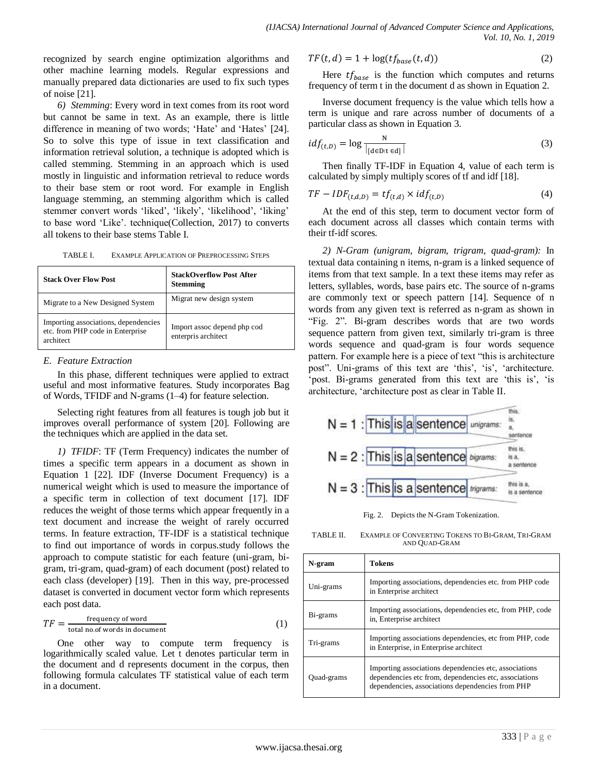recognized by search engine optimization algorithms and other machine learning models. Regular expressions and manually prepared data dictionaries are used to fix such types of noise [21].

*6) Stemming*: Every word in text comes from its root word but cannot be same in text. As an example, there is little difference in meaning of two words; 'Hate' and 'Hates' [24]. So to solve this type of issue in text classification and information retrieval solution, a technique is adopted which is called stemming. Stemming in an approach which is used mostly in linguistic and information retrieval to reduce words to their base stem or root word. For example in English language stemming, an stemming algorithm which is called stemmer convert words 'liked', 'likely', 'likelihood', 'liking' to base word "Like". technique(Collection, 2017) to converts all tokens to their base stems Table I.

| <b>EXAMPLE APPLICATION OF PREPROCESSING STEPS</b><br>TABLE I. |  |
|---------------------------------------------------------------|--|
|---------------------------------------------------------------|--|

| <b>Stack Over Flow Post</b>                                                           | <b>StackOverflow Post After</b><br><b>Stemming</b> |
|---------------------------------------------------------------------------------------|----------------------------------------------------|
| Migrate to a New Designed System                                                      | Migrat new design system                           |
| Importing associations, dependencies<br>etc. from PHP code in Enterprise<br>architect | Import assoc depend php cod<br>enterpris architect |

#### *E. Feature Extraction*

In this phase, different techniques were applied to extract useful and most informative features. Study incorporates Bag of Words, TFIDF and N-grams (1–4) for feature selection.

Selecting right features from all features is tough job but it improves overall performance of system [20]. Following are the techniques which are applied in the data set.

*1) TFIDF*: TF (Term Frequency) indicates the number of times a specific term appears in a document as shown in Equation 1 [22]. IDF (Inverse Document Frequency) is a numerical weight which is used to measure the importance of a specific term in collection of text document [17]. IDF reduces the weight of those terms which appear frequently in a text document and increase the weight of rarely occurred terms. In feature extraction, TF-IDF is a statistical technique to find out importance of words in corpus.study follows the approach to compute statistic for each feature (uni-gram, bigram, tri-gram, quad-gram) of each document (post) related to each class (developer) [19]. Then in this way, pre-processed dataset is converted in document vector form which represents each post data.

$$
TF = \frac{\text{frequency of word}}{\text{total no. of words in document}}
$$
 (1)

One other way to compute term frequency is logarithmically scaled value. Let t denotes particular term in the document and d represents document in the corpus, then following formula calculates TF statistical value of each term in a document.

$$
TF(t, d) = 1 + \log(tf_{base}(t, d))
$$
\n<sup>(2)</sup>

Here  $tf_{base}$  is the function which computes and returns frequency of term t in the document d as shown in Equation 2.

Inverse document frequency is the value which tells how a term is unique and rare across number of documents of a particular class as shown in Equation 3.

$$
idf_{(t,D)} = \log \frac{N}{|[\text{deD}: \text{ted}]|}
$$
 (3)

Then finally TF-IDF in Equation 4, value of each term is calculated by simply multiply scores of tf and idf [18].

$$
TF - IDF_{(t,d,D)} = tf_{(t,d)} \times idf_{(t,D)}
$$
\n
$$
\tag{4}
$$

At the end of this step, term to document vector form of each document across all classes which contain terms with their tf-idf scores.

*2) N-Gram (unigram, bigram, trigram, quad-gram):* In textual data containing n items, n-gram is a linked sequence of items from that text sample. In a text these items may refer as letters, syllables, words, base pairs etc. The source of n-grams are commonly text or speech pattern [14]. Sequence of n words from any given text is referred as n-gram as shown in "Fig. 2". Bi-gram describes words that are two words sequence pattern from given text, similarly tri-gram is three words sequence and quad-gram is four words sequence pattern. For example here is a piece of text "this is architecture post". Uni-grams of this text are 'this', 'is', 'architecture. 'post. Bi-grams generated from this text are 'this is', 'is architecture, "architecture post as clear in Table II.



Fig. 2. Depicts the N-Gram Tokenization.

| TABLE II. | EXAMPLE OF CONVERTING TOKENS TO BI-GRAM, TRI-GRAM |
|-----------|---------------------------------------------------|
|           | AND OUAD-GRAM                                     |

| N-gram     | Tokens                                                                                                                                                             |
|------------|--------------------------------------------------------------------------------------------------------------------------------------------------------------------|
| Uni-grams  | Importing associations, dependencies etc. from PHP code<br>in Enterprise architect                                                                                 |
| Bi-grams   | Importing associations, dependencies etc, from PHP, code<br>in, Enterprise architect                                                                               |
| Tri-grams  | Importing associations dependencies, etc from PHP, code<br>in Enterprise, in Enterprise architect                                                                  |
| Quad-grams | Importing associations dependencies etc, associations<br>dependencies etc from, dependencies etc, associations<br>dependencies, associations dependencies from PHP |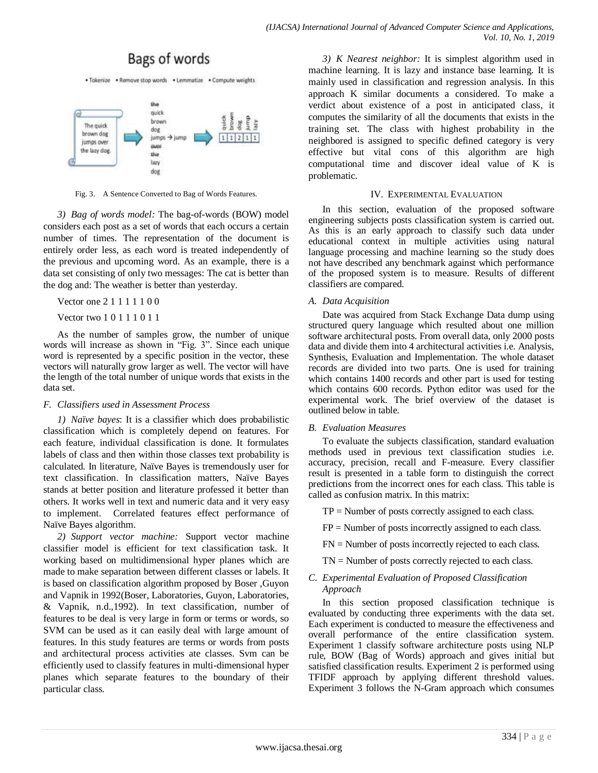# Bags of words

. Tokenize . Remove stop words . Lemmatize . Compute weights



Fig. 3. A Sentence Converted to Bag of Words Features.

*3) Bag of words model:* The bag-of-words (BOW) model considers each post as a set of words that each occurs a certain number of times. The representation of the document is entirely order less, as each word is treated independently of the previous and upcoming word. As an example, there is a data set consisting of only two messages: The cat is better than the dog and: The weather is better than yesterday.

Vector one 2 1 1 1 1 1 0 0

Vector two 1 0 1 1 1 0 1 1

As the number of samples grow, the number of unique words will increase as shown in "Fig. 3". Since each unique word is represented by a specific position in the vector, these vectors will naturally grow larger as well. The vector will have the length of the total number of unique words that exists in the data set.

#### *F. Classifiers used in Assessment Process*

*1) Naïve bayes*: It is a classifier which does probabilistic classification which is completely depend on features. For each feature, individual classification is done. It formulates labels of class and then within those classes text probability is calculated. In literature, Naïve Bayes is tremendously user for text classification. In classification matters, Naïve Bayes stands at better position and literature professed it better than others. It works well in text and numeric data and it very easy to implement. Correlated features effect performance of Naïve Bayes algorithm.

*2) Support vector machine:* Support vector machine classifier model is efficient for text classification task. It working based on multidimensional hyper planes which are made to make separation between different classes or labels. It is based on classification algorithm proposed by Boser ,Guyon and Vapnik in 1992(Boser, Laboratories, Guyon, Laboratories, & Vapnik, n.d.,1992). In text classification, number of features to be deal is very large in form or terms or words, so SVM can be used as it can easily deal with large amount of features. In this study features are terms or words from posts and architectural process activities ate classes. Svm can be efficiently used to classify features in multi-dimensional hyper planes which separate features to the boundary of their particular class.

*3) K Nearest neighbor:* It is simplest algorithm used in machine learning. It is lazy and instance base learning. It is mainly used in classification and regression analysis. In this approach K similar documents a considered. To make a verdict about existence of a post in anticipated class, it computes the similarity of all the documents that exists in the training set. The class with highest probability in the neighbored is assigned to specific defined category is very effective but vital cons of this algorithm are high computational time and discover ideal value of K is problematic.

#### IV. EXPERIMENTAL EVALUATION

In this section, evaluation of the proposed software engineering subjects posts classification system is carried out. As this is an early approach to classify such data under educational context in multiple activities using natural language processing and machine learning so the study does not have described any benchmark against which performance of the proposed system is to measure. Results of different classifiers are compared.

#### *A. Data Acquisition*

Date was acquired from Stack Exchange Data dump using structured query language which resulted about one million software architectural posts. From overall data, only 2000 posts data and divide them into 4 architectural activities i.e. Analysis, Synthesis, Evaluation and Implementation. The whole dataset records are divided into two parts. One is used for training which contains 1400 records and other part is used for testing which contains 600 records. Python editor was used for the experimental work. The brief overview of the dataset is outlined below in table.

### *B. Evaluation Measures*

To evaluate the subjects classification, standard evaluation methods used in previous text classification studies i.e. accuracy, precision, recall and F-measure. Every classifier result is presented in a table form to distinguish the correct predictions from the incorrect ones for each class. This table is called as confusion matrix. In this matrix:

 $TP =$  Number of posts correctly assigned to each class.

 $FP =$  Number of posts incorrectly assigned to each class.

FN = Number of posts incorrectly rejected to each class.

 $TN =$  Number of posts correctly rejected to each class.

#### *C. Experimental Evaluation of Proposed Classification Approach*

In this section proposed classification technique is evaluated by conducting three experiments with the data set. Each experiment is conducted to measure the effectiveness and overall performance of the entire classification system. Experiment 1 classify software architecture posts using NLP rule, BOW (Bag of Words) approach and gives initial but satisfied classification results. Experiment 2 is performed using TFIDF approach by applying different threshold values. Experiment 3 follows the N-Gram approach which consumes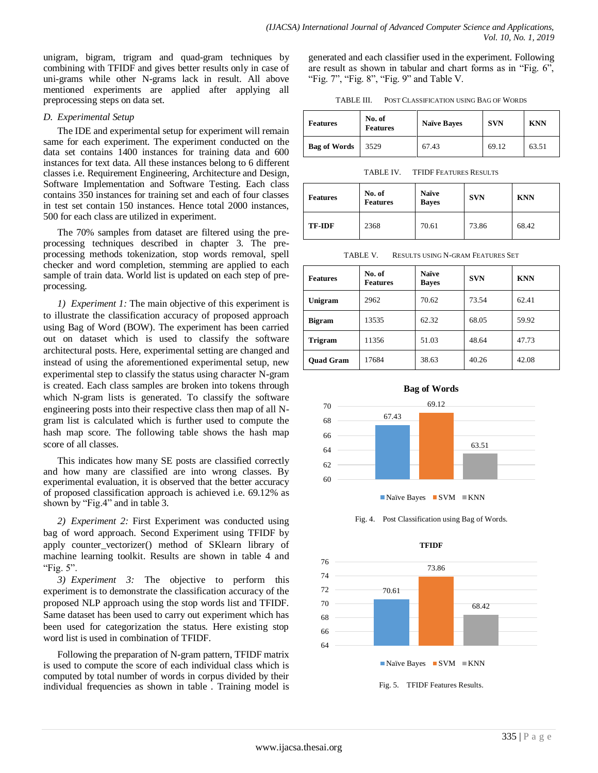unigram, bigram, trigram and quad-gram techniques by combining with TFIDF and gives better results only in case of uni-grams while other N-grams lack in result. All above mentioned experiments are applied after applying all preprocessing steps on data set.

#### *D. Experimental Setup*

The IDE and experimental setup for experiment will remain same for each experiment. The experiment conducted on the data set contains 1400 instances for training data and 600 instances for text data. All these instances belong to 6 different classes i.e. Requirement Engineering, Architecture and Design, Software Implementation and Software Testing. Each class contains 350 instances for training set and each of four classes in test set contain 150 instances. Hence total 2000 instances, 500 for each class are utilized in experiment.

The 70% samples from dataset are filtered using the preprocessing techniques described in chapter 3. The preprocessing methods tokenization, stop words removal, spell checker and word completion, stemming are applied to each sample of train data. World list is updated on each step of preprocessing.

*1) Experiment 1:* The main objective of this experiment is to illustrate the classification accuracy of proposed approach using Bag of Word (BOW). The experiment has been carried out on dataset which is used to classify the software architectural posts. Here, experimental setting are changed and instead of using the aforementioned experimental setup, new experimental step to classify the status using character N-gram is created. Each class samples are broken into tokens through which N-gram lists is generated. To classify the software engineering posts into their respective class then map of all Ngram list is calculated which is further used to compute the hash map score. The following table shows the hash map score of all classes.

This indicates how many SE posts are classified correctly and how many are classified are into wrong classes. By experimental evaluation, it is observed that the better accuracy of proposed classification approach is achieved i.e. 69.12% as shown by "Fig.4" and in table 3.

*2) Experiment 2:* First Experiment was conducted using bag of word approach. Second Experiment using TFIDF by apply counter\_vectorizer() method of SKlearn library of machine learning toolkit. Results are shown in table 4 and "Fig. 5".

*3) Experiment 3:* The objective to perform this experiment is to demonstrate the classification accuracy of the proposed NLP approach using the stop words list and TFIDF. Same dataset has been used to carry out experiment which has been used for categorization the status. Here existing stop word list is used in combination of TFIDF.

Following the preparation of N-gram pattern, TFIDF matrix is used to compute the score of each individual class which is computed by total number of words in corpus divided by their individual frequencies as shown in table . Training model is generated and each classifier used in the experiment. Following are result as shown in tabular and chart forms as in "Fig. 6", "Fig. 7", "Fig. 8", "Fig. 9" and Table V.

TABLE III. POST CLASSIFICATION USING BAG OF WORDS

| <b>Features</b>     | No. of<br><b>Features</b> | <b>Naïve Bayes</b> | <b>SVN</b> | <b>KNN</b> |
|---------------------|---------------------------|--------------------|------------|------------|
| <b>Bag of Words</b> | 3529                      | 67.43              | 69.12      | 63.51      |

TABLE IV. TFIDF FEATURES RESULTS

| <b>Features</b> | No. of<br><b>Features</b> | <b>Naïve</b><br><b>Bayes</b> | <b>SVN</b> | <b>KNN</b> |
|-----------------|---------------------------|------------------------------|------------|------------|
| <b>TF-IDF</b>   | 2368                      | 70.61                        | 73.86      | 68.42      |

TABLE V. RESULTS USING N-GRAM FEATURES SET

| <b>Features</b>  | No. of<br><b>Features</b> | <b>Naïve</b><br><b>Baves</b> | <b>SVN</b> | <b>KNN</b> |
|------------------|---------------------------|------------------------------|------------|------------|
| Unigram          | 2962                      | 70.62                        | 73.54      | 62.41      |
| <b>Bigram</b>    | 13535                     | 62.32                        | 68.05      | 59.92      |
| <b>Trigram</b>   | 11356                     | 51.03                        | 48.64      | 47.73      |
| <b>Quad Gram</b> | 17684                     | 38.63                        | 40.26      | 42.08      |





 $\blacksquare$  Naïve Bayes  $\blacksquare$  SVM  $\blacksquare$  KNN

Fig. 4. Post Classification using Bag of Words.

**TFIDF**



Fig. 5. TFIDF Features Results.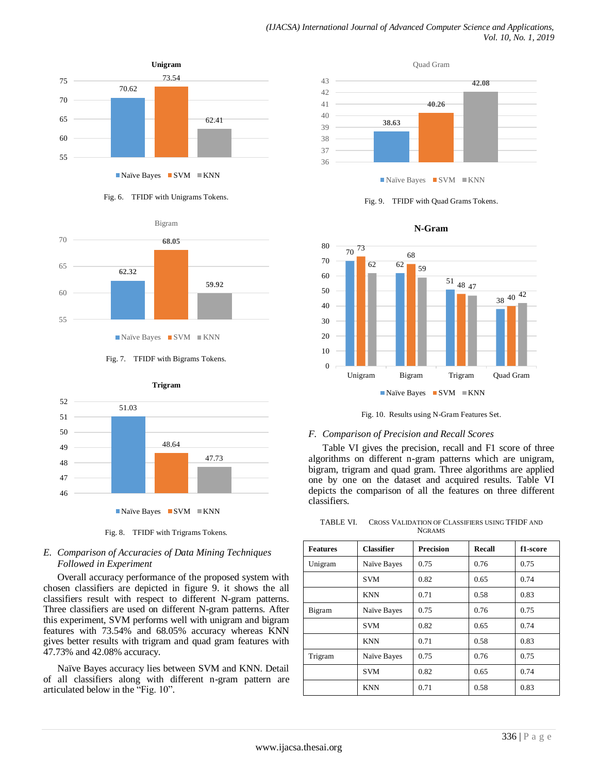











Fig. 8. TFIDF with Trigrams Tokens.

## *E. Comparison of Accuracies of Data Mining Techniques Followed in Experiment*

Overall accuracy performance of the proposed system with chosen classifiers are depicted in figure 9. it shows the all classifiers result with respect to different N-gram patterns. Three classifiers are used on different N-gram patterns. After this experiment, SVM performs well with unigram and bigram features with 73.54% and 68.05% accuracy whereas KNN gives better results with trigram and quad gram features with 47.73% and 42.08% accuracy.

Naïve Bayes accuracy lies between SVM and KNN. Detail of all classifiers along with different n-gram pattern are articulated below in the "Fig. 10".



Fig. 9. TFIDF with Quad Grams Tokens.



**N-Gram**

Fig. 10. Results using N-Gram Features Set.

#### *F. Comparison of Precision and Recall Scores*

Table VI gives the precision, recall and F1 score of three algorithms on different n-gram patterns which are unigram, bigram, trigram and quad gram. Three algorithms are applied one by one on the dataset and acquired results. Table VI depicts the comparison of all the features on three different classifiers.

| <b>Features</b> | <b>Classifier</b> | <b>Precision</b> | Recall | f1-score |
|-----------------|-------------------|------------------|--------|----------|
| Unigram         | Naïve Bayes       | 0.75             | 0.76   | 0.75     |
|                 | <b>SVM</b>        | 0.82             | 0.65   | 0.74     |
|                 | <b>KNN</b>        | 0.71             | 0.58   | 0.83     |
| Bigram          | Naïve Bayes       | 0.75             | 0.76   | 0.75     |
|                 | <b>SVM</b>        | 0.82             | 0.65   | 0.74     |
|                 | <b>KNN</b>        | 0.71             | 0.58   | 0.83     |
| Trigram         | Naïve Bayes       | 0.75             | 0.76   | 0.75     |
|                 | <b>SVM</b>        | 0.82             | 0.65   | 0.74     |
|                 | <b>KNN</b>        | 0.71             | 0.58   | 0.83     |

TABLE VI. CROSS VALIDATION OF CLASSIFIERS USING TFIDF AND NGRAMS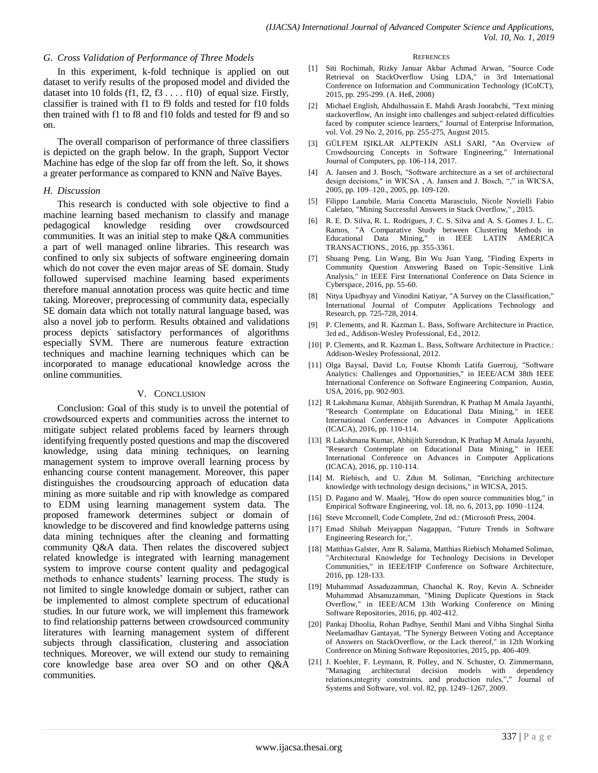#### *G. Cross Validation of Performance of Three Models*

In this experiment, k-fold technique is applied on out dataset to verify results of the proposed model and divided the dataset into 10 folds (f1, f2, f3 . . . . f10) of equal size. Firstly, classifier is trained with f1 to f9 folds and tested for f10 folds then trained with f1 to f8 and f10 folds and tested for f9 and so on.

The overall comparison of performance of three classifiers is depicted on the graph below. In the graph, Support Vector Machine has edge of the slop far off from the left. So, it shows a greater performance as compared to KNN and Naïve Bayes.

#### *H. Discussion*

This research is conducted with sole objective to find a machine learning based mechanism to classify and manage pedagogical knowledge residing over crowdsourced communities. It was an initial step to make Q&A communities a part of well managed online libraries. This research was confined to only six subjects of software engineering domain which do not cover the even major areas of SE domain. Study followed supervised machine learning based experiments therefore manual annotation process was quite hectic and time taking. Moreover, preprocessing of community data, especially SE domain data which not totally natural language based, was also a novel job to perform. Results obtained and validations process depicts satisfactory performances of algorithms especially SVM. There are numerous feature extraction techniques and machine learning techniques which can be incorporated to manage educational knowledge across the online communities.

#### V. CONCLUSION

Conclusion: Goal of this study is to unveil the potential of crowdsourced experts and communities across the internet to mitigate subject related problems faced by learners through identifying frequently posted questions and map the discovered knowledge, using data mining techniques, on learning management system to improve overall learning process by enhancing course content management. Moreover, this paper distinguishes the croudsourcing approach of education data mining as more suitable and rip with knowledge as compared to EDM using learning management system data. The proposed framework determines subject or domain of knowledge to be discovered and find knowledge patterns using data mining techniques after the cleaning and formatting community Q&A data. Then relates the discovered subject related knowledge is integrated with learning management system to improve course content quality and pedagogical methods to enhance students' learning process. The study is not limited to single knowledge domain or subject, rather can be implemented to almost complete spectrum of educational studies. In our future work, we will implement this framework to find relationship patterns between crowdsourced community literatures with learning management system of different subjects through classification, clustering and association techniques. Moreover, we will extend our study to remaining core knowledge base area over SO and on other Q&A communities.

#### **REFRENCES**

- [1] Siti Rochimah, Rizky Januar Akbar Achmad Arwan, "Source Code Retrieval on StackOverflow Using LDA," in 3rd International Conference on Information and Communication Technology (ICoICT), 2015, pp. 295-299. (A. Heß, 2008)
- [2] Michael English, Abdulhussain E. Mahdi Arash Joorabchi, "Text mining stackoverflow, An insight into challenges and subject-related difficulties faced by computer science learners," Journal of Enterprise Information, vol. Vol. 29 No. 2, 2016, pp. 255-275, August 2015.
- [3] GÜLFEM IŞIKLAR ALPTEKİN ASLI SARI, "An Overview of Crowdsourcing Concepts in Software Engineering," International Journal of Computers, pp. 106-114, 2017.
- [4] A. Jansen and J. Bosch, "Software architecture as a set of architectural design decisions," in WICSA , A. Jansen and J. Bosch, "," in WICSA, 2005, pp. 109–120., 2005, pp. 109-120.
- [5] Filippo Lanubile, Maria Concetta Marasciulo, Nicole Novielli Fabio Calefato, "Mining Successful Answers in Stack Overflow," , 2015.
- [6] R. E. D. Silva, R. L. Rodrigues, J. C. S. Silva and A. S. Gomes J. L. C. Ramos, "A Comparative Study between Clustering Methods in Educational Data Mining," in IEEE LATIN AMERICA TRANSACTIONS., 2016, pp. 355-3361.
- [7] Shuang Peng, Lin Wang, Bin Wu Juan Yang, "Finding Experts in Community Question Answering Based on Topic-Sensitive Link Analysis," in IEEE First International Conference on Data Science in Cyberspace, 2016, pp. 55-60.
- Nitya Upadhyay and Vinodini Katiyar, "A Survey on the Classification," International Journal of Computer Applications Technology and Research, pp. 725-728, 2014.
- [9] P. Clements, and R. Kazman L. Bass, Software Architecture in Practice, 3rd ed., Addison-Wesley Professional, Ed., 2012.
- [10] P. Clements, and R. Kazman L. Bass, Software Architecture in Practice.: Addison-Wesley Professional, 2012.
- [11] Olga Baysal, David Lo, Foutse Khomh Latifa Guerrouj, "Software Analytics: Challenges and Opportunities," in IEEE/ACM 38th IEEE International Conference on Software Engineering Companion, Austin, USA, 2016, pp. 902-903.
- [12] R Lakshmana Kumar, Abhijith Surendran, K Prathap M Amala Jayanthi, "Research Contemplate on Educational Data Mining," in IEEE International Conference on Advances in Computer Applications (ICACA), 2016, pp. 110-114.
- [13] R Lakshmana Kumar, Abhijith Surendran, K Prathap M Amala Jayanthi, "Research Contemplate on Educational Data Mining," in IEEE International Conference on Advances in Computer Applications (ICACA), 2016, pp. 110-114.
- [14] M. Riebisch, and U. Zdun M. Soliman, "Enriching architecture knowledge with technology design decisions," in WICSA, 2015.
- [15] D. Pagano and W. Maalej, "How do open source communities blog," in Empirical Software Engineering, vol. 18, no. 6, 2013, pp. 1090–1124.
- [16] Steve Mcconnell, Code Complete, 2nd ed.: (Microsoft Press, 2004.
- [17] Emad Shihab Meiyappan Nagappan, "Future Trends in Software Engineering Research for,".
- [18] Matthias Galster, Amr R. Salama, Matthias Riebisch Mohamed Soliman, "Architectural Knowledge for Technology Decisions in Developer Communities," in IEEE/IFIP Conference on Software Architecture, 2016, pp. 128-133.
- [19] Muhammad Assaduzamman, Chanchal K. Roy, Kevin A. Schneider Muhammad Ahsanuzamman, "Mining Duplicate Questions in Stack Overflow," in IEEE/ACM 13th Working Conference on Mining Software Repositories, 2016, pp. 402-412.
- [20] Pankaj Dhoolia, Rohan Padhye, Senthil Mani and Vibha Singhal Sinha Neelamadhav Gantayat, "The Synergy Between Voting and Acceptance of Answers on StackOverflow, or the Lack thereof," in 12th Working Conference on Mining Software Repositories, 2015, pp. 406-409.
- [21] J. Koehler, F. Leymann, R. Polley, and N. Schuster, O. Zimmermann, "Managing architectural decision models with dependency relations,integrity constraints, and production rules,"," Journal of Systems and Software, vol. vol. 82, pp. 1249–1267, 2009.